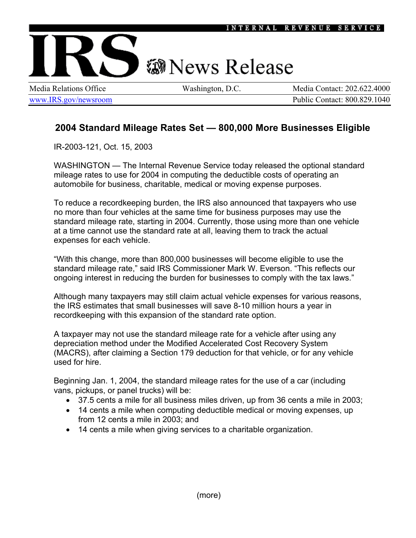## **@News Release**

Media Relations Office Washington, D.C. Media Contact: 202.622.4000 www.IRS.gov/newsroom Public Contact: 800.829.1040

## **2004 Standard Mileage Rates Set — 800,000 More Businesses Eligible**

IR-2003-121, Oct. 15, 2003

WASHINGTON — The Internal Revenue Service today released the optional standard mileage rates to use for 2004 in computing the deductible costs of operating an automobile for business, charitable, medical or moving expense purposes.

To reduce a recordkeeping burden, the IRS also announced that taxpayers who use no more than four vehicles at the same time for business purposes may use the standard mileage rate, starting in 2004. Currently, those using more than one vehicle at a time cannot use the standard rate at all, leaving them to track the actual expenses for each vehicle.

"With this change, more than 800,000 businesses will become eligible to use the standard mileage rate," said IRS Commissioner Mark W. Everson. "This reflects our ongoing interest in reducing the burden for businesses to comply with the tax laws."

Although many taxpayers may still claim actual vehicle expenses for various reasons, the IRS estimates that small businesses will save 8-10 million hours a year in recordkeeping with this expansion of the standard rate option.

A taxpayer may not use the standard mileage rate for a vehicle after using any depreciation method under the Modified Accelerated Cost Recovery System (MACRS), after claiming a Section 179 deduction for that vehicle, or for any vehicle used for hire.

Beginning Jan. 1, 2004, the standard mileage rates for the use of a car (including vans, pickups, or panel trucks) will be:

- 37.5 cents a mile for all business miles driven, up from 36 cents a mile in 2003;
- 14 cents a mile when computing deductible medical or moving expenses, up from 12 cents a mile in 2003; and
- 14 cents a mile when giving services to a charitable organization.